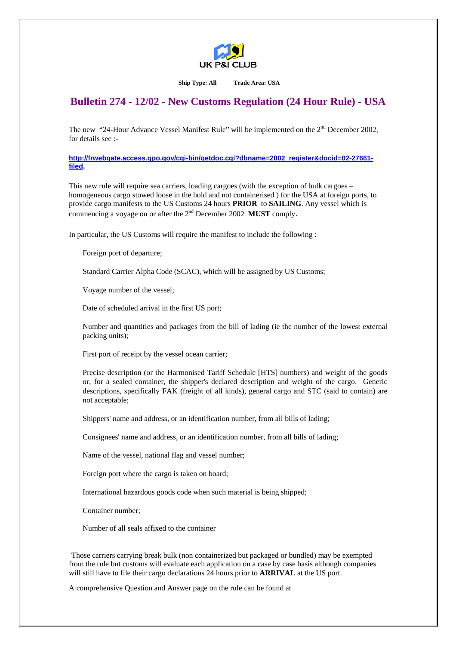

**Ship Type: All Trade Area: USA** 

## **Bulletin 274 - 12/02 - New Customs Regulation (24 Hour Rule) - USA**

The new "24-Hour Advance Vessel Manifest Rule" will be implemented on the 2<sup>nd</sup> December 2002, for details see :-

**[http://frwebgate.access.gpo.gov/cgi-bin/getdoc.cgi?dbname=2002\\_register&docid=02-27661](http://frwebgate.access.gpo.gov/cgi-bin/getdoc.cgi?dbname=2002_register&docid=02-27661-filed) [filed](http://frwebgate.access.gpo.gov/cgi-bin/getdoc.cgi?dbname=2002_register&docid=02-27661-filed).**

This new rule will require sea carriers, loading cargoes (with the exception of bulk cargoes – homogeneous cargo stowed loose in the hold and not containerised ) for the USA at foreign ports, to provide cargo manifests to the US Customs 24 hours **PRIOR** to **SAILING**. Any vessel which is commencing a voyage on or after the 2nd December 2002 **MUST** comply.

In particular, the US Customs will require the manifest to include the following :

Foreign port of departure;

Standard Carrier Alpha Code (SCAC), which will be assigned by US Customs;

Voyage number of the vessel;

Date of scheduled arrival in the first US port;

Number and quantities and packages from the bill of lading (ie the number of the lowest external packing units);

First port of receipt by the vessel ocean carrier;

Precise description (or the Harmonised Tariff Schedule [HTS] numbers) and weight of the goods or, for a sealed container, the shipper's declared description and weight of the cargo. Generic descriptions, specifically FAK (freight of all kinds), general cargo and STC (said to contain) are not acceptable;

Shippers' name and address, or an identification number, from all bills of lading;

Consignees' name and address, or an identification number, from all bills of lading;

Name of the vessel, national flag and vessel number;

Foreign port where the cargo is taken on board;

International hazardous goods code when such material is being shipped;

Container number;

Number of all seals affixed to the container

Those carriers carrying break bulk (non containerized but packaged or bundled) may be exempted from the rule but customs will evaluate each application on a case by case basis although companies will still have to file their cargo declarations 24 hours prior to **ARRIVAL** at the US port.

A comprehensive Question and Answer page on the rule can be found at